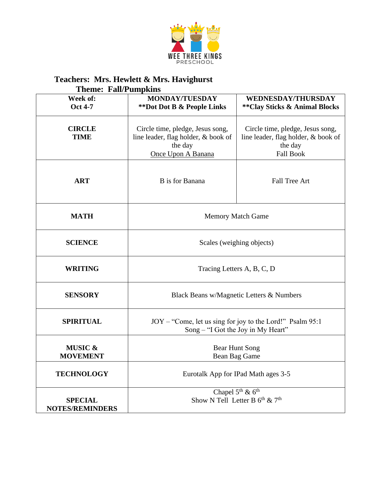

|                                          | <b>Theme: Fall/Pumpkins</b>                                                                              |                                                                                                        |  |  |  |
|------------------------------------------|----------------------------------------------------------------------------------------------------------|--------------------------------------------------------------------------------------------------------|--|--|--|
| Week of:<br><b>Oct 4-7</b>               | <b>MONDAY/TUESDAY</b><br>**Dot Dot B & People Links                                                      | <b>WEDNESDAY/THURSDAY</b><br><b>**Clay Sticks &amp; Animal Blocks</b>                                  |  |  |  |
| <b>CIRCLE</b><br><b>TIME</b>             | Circle time, pledge, Jesus song,<br>line leader, flag holder, & book of<br>the day<br>Once Upon A Banana | Circle time, pledge, Jesus song,<br>line leader, flag holder, & book of<br>the day<br><b>Fall Book</b> |  |  |  |
| <b>ART</b>                               | B is for Banana                                                                                          | <b>Fall Tree Art</b>                                                                                   |  |  |  |
| <b>MATH</b>                              | <b>Memory Match Game</b>                                                                                 |                                                                                                        |  |  |  |
| <b>SCIENCE</b>                           | Scales (weighing objects)                                                                                |                                                                                                        |  |  |  |
| <b>WRITING</b>                           | Tracing Letters A, B, C, D                                                                               |                                                                                                        |  |  |  |
| <b>SENSORY</b>                           | Black Beans w/Magnetic Letters & Numbers                                                                 |                                                                                                        |  |  |  |
| <b>SPIRITUAL</b>                         | JOY – "Come, let us sing for joy to the Lord!" Psalm 95:1<br>Song – "I Got the Joy in My Heart"          |                                                                                                        |  |  |  |
| <b>MUSIC &amp;</b><br><b>MOVEMENT</b>    | Bear Hunt Song<br>Bean Bag Game                                                                          |                                                                                                        |  |  |  |
| <b>TECHNOLOGY</b>                        | Eurotalk App for IPad Math ages 3-5                                                                      |                                                                                                        |  |  |  |
| <b>SPECIAL</b><br><b>NOTES/REMINDERS</b> | Chapel $5^{th}$ & $6^{th}$<br>Show N Tell Letter B $6^{th}$ & $7^{th}$                                   |                                                                                                        |  |  |  |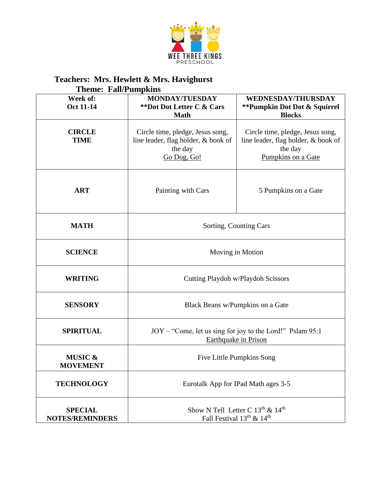

| <b>Theme: Fall/Pumpkins</b>              |                                                                                                   |                                                                                                          |  |  |
|------------------------------------------|---------------------------------------------------------------------------------------------------|----------------------------------------------------------------------------------------------------------|--|--|
| Week of:<br><b>Oct 11-14</b>             | <b>MONDAY/TUESDAY</b><br>**Dot Dot Letter C & Cars<br><b>Math</b>                                 | <b>WEDNESDAY/THURSDAY</b><br>** Pumpkin Dot Dot & Squirrel<br><b>Blocks</b>                              |  |  |
| <b>CIRCLE</b><br><b>TIME</b>             | Circle time, pledge, Jesus song,<br>line leader, flag holder, & book of<br>the day<br>Go Dog, Go! | Circle time, pledge, Jesus song,<br>line leader, flag holder, & book of<br>the day<br>Pumpkins on a Gate |  |  |
| <b>ART</b>                               | Painting with Cars                                                                                | 5 Pumpkins on a Gate                                                                                     |  |  |
| <b>MATH</b>                              | Sorting, Counting Cars                                                                            |                                                                                                          |  |  |
| <b>SCIENCE</b>                           | Moving in Motion                                                                                  |                                                                                                          |  |  |
| <b>WRITING</b>                           | Cutting Playdoh w/Playdoh Scissors                                                                |                                                                                                          |  |  |
| <b>SENSORY</b>                           | Black Beans w/Pumpkins on a Gate                                                                  |                                                                                                          |  |  |
| <b>SPIRITUAL</b>                         | JOY – "Come, let us sing for joy to the Lord!" Pslam 95:1<br><b>Earthquake in Prison</b>          |                                                                                                          |  |  |
| <b>MUSIC &amp;</b><br><b>MOVEMENT</b>    | <b>Five Little Pumpkins Song</b>                                                                  |                                                                                                          |  |  |
| <b>TECHNOLOGY</b>                        | Eurotalk App for IPad Math ages 3-5                                                               |                                                                                                          |  |  |
| <b>SPECIAL</b><br><b>NOTES/REMINDERS</b> | Show N Tell Letter C 13 <sup>th</sup> & 14 <sup>th</sup><br>Fall Festival $13^{th}$ & $14^{th}$   |                                                                                                          |  |  |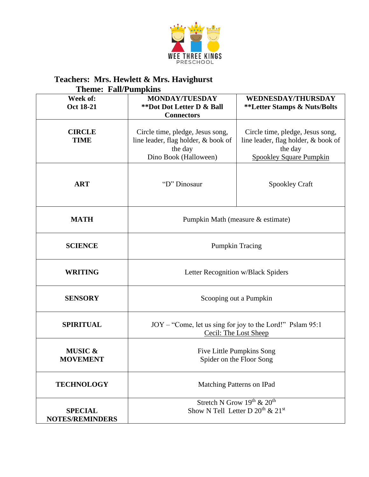

| <b>Theme: Fall/Pumpkins</b>              |                                                                                                             |                                                                                                                      |  |  |
|------------------------------------------|-------------------------------------------------------------------------------------------------------------|----------------------------------------------------------------------------------------------------------------------|--|--|
| Week of:<br><b>Oct 18-21</b>             | <b>MONDAY/TUESDAY</b><br>**Dot Dot Letter D & Ball<br><b>Connectors</b>                                     | <b>WEDNESDAY/THURSDAY</b><br><b>**Letter Stamps &amp; Nuts/Bolts</b>                                                 |  |  |
| <b>CIRCLE</b><br><b>TIME</b>             | Circle time, pledge, Jesus song,<br>line leader, flag holder, & book of<br>the day<br>Dino Book (Halloween) | Circle time, pledge, Jesus song,<br>line leader, flag holder, & book of<br>the day<br><b>Spookley Square Pumpkin</b> |  |  |
| <b>ART</b>                               | "D" Dinosaur                                                                                                | Spookley Craft                                                                                                       |  |  |
| <b>MATH</b>                              | Pumpkin Math (measure & estimate)                                                                           |                                                                                                                      |  |  |
| <b>SCIENCE</b>                           | <b>Pumpkin Tracing</b>                                                                                      |                                                                                                                      |  |  |
| <b>WRITING</b>                           | Letter Recognition w/Black Spiders                                                                          |                                                                                                                      |  |  |
| <b>SENSORY</b>                           | Scooping out a Pumpkin                                                                                      |                                                                                                                      |  |  |
| <b>SPIRITUAL</b>                         | JOY – "Come, let us sing for joy to the Lord!" Pslam 95:1<br>Cecil: The Lost Sheep                          |                                                                                                                      |  |  |
| <b>MUSIC &amp;</b><br><b>MOVEMENT</b>    | <b>Five Little Pumpkins Song</b><br>Spider on the Floor Song                                                |                                                                                                                      |  |  |
| <b>TECHNOLOGY</b>                        | Matching Patterns on IPad                                                                                   |                                                                                                                      |  |  |
| <b>SPECIAL</b><br><b>NOTES/REMINDERS</b> | Stretch N Grow 19th & 20th<br>Show N Tell Letter D $20^{th}$ & $21^{st}$                                    |                                                                                                                      |  |  |